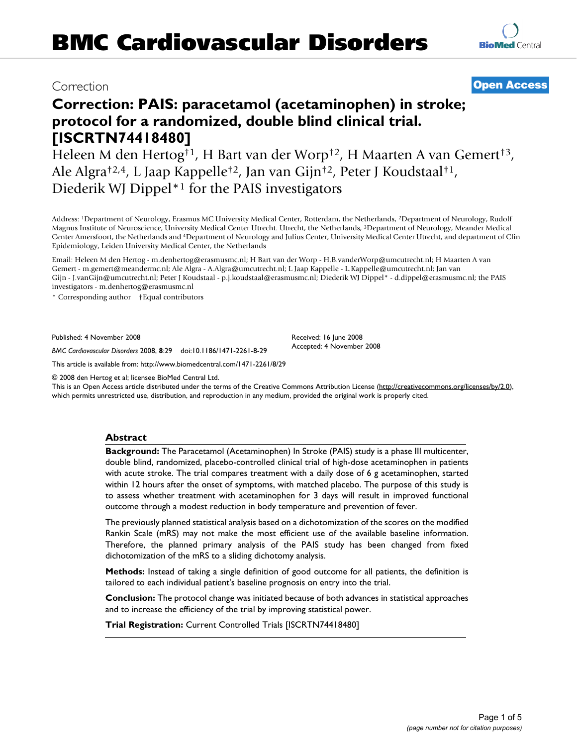# Correction **[Open Access](http://www.biomedcentral.com/info/about/charter/)**

**[BioMed](http://www.biomedcentral.com/)** Central

# **Correction: PAIS: paracetamol (acetaminophen) in stroke; protocol for a randomized, double blind clinical trial. [ISCRTN74418480]**

Heleen M den Hertog†1, H Bart van der Worp†2, H Maarten A van Gemert†3, Ale Algra†2,4, L Jaap Kappelle†2, Jan van Gijn†2, Peter J Koudstaal†1, Diederik WJ Dippel\*1 for the PAIS investigators

Address: 1Department of Neurology, Erasmus MC University Medical Center, Rotterdam, the Netherlands, 2Department of Neurology, Rudolf Magnus Institute of Neuroscience, University Medical Center Utrecht. Utrecht, the Netherlands, 3Department of Neurology, Meander Medical Center Amersfoort, the Netherlands and 4Department of Neurology and Julius Center, University Medical Center Utrecht, and department of Clin Epidemiology, Leiden University Medical Center, the Netherlands

Email: Heleen M den Hertog - m.denhertog@erasmusmc.nl; H Bart van der Worp - H.B.vanderWorp@umcutrecht.nl; H Maarten A van Gemert - m.gemert@meandermc.nl; Ale Algra - A.Algra@umcutrecht.nl; L Jaap Kappelle - L.Kappelle@umcutrecht.nl; Jan van Gijn - J.vanGijn@umcutrecht.nl; Peter J Koudstaal - p.j.koudstaal@erasmusmc.nl; Diederik WJ Dippel\* - d.dippel@erasmusmc.nl; the PAIS investigators - m.denhertog@erasmusmc.nl

\* Corresponding author †Equal contributors

Published: 4 November 2008

*BMC Cardiovascular Disorders* 2008, **8**:29 doi:10.1186/1471-2261-8-29

[This article is available from: http://www.biomedcentral.com/1471-2261/8/29](http://www.biomedcentral.com/1471-2261/8/29)

© 2008 den Hertog et al; licensee BioMed Central Ltd.

This is an Open Access article distributed under the terms of the Creative Commons Attribution License [\(http://creativecommons.org/licenses/by/2.0\)](http://creativecommons.org/licenses/by/2.0), which permits unrestricted use, distribution, and reproduction in any medium, provided the original work is properly cited.

Received: 16 June 2008 Accepted: 4 November 2008

#### **Abstract**

**Background:** The Paracetamol (Acetaminophen) In Stroke (PAIS) study is a phase III multicenter, double blind, randomized, placebo-controlled clinical trial of high-dose acetaminophen in patients with acute stroke. The trial compares treatment with a daily dose of 6 g acetaminophen, started within 12 hours after the onset of symptoms, with matched placebo. The purpose of this study is to assess whether treatment with acetaminophen for 3 days will result in improved functional outcome through a modest reduction in body temperature and prevention of fever.

The previously planned statistical analysis based on a dichotomization of the scores on the modified Rankin Scale (mRS) may not make the most efficient use of the available baseline information. Therefore, the planned primary analysis of the PAIS study has been changed from fixed dichotomization of the mRS to a sliding dichotomy analysis.

**Methods:** Instead of taking a single definition of good outcome for all patients, the definition is tailored to each individual patient's baseline prognosis on entry into the trial.

**Conclusion:** The protocol change was initiated because of both advances in statistical approaches and to increase the efficiency of the trial by improving statistical power.

**Trial Registration:** Current Controlled Trials [ISCRTN74418480]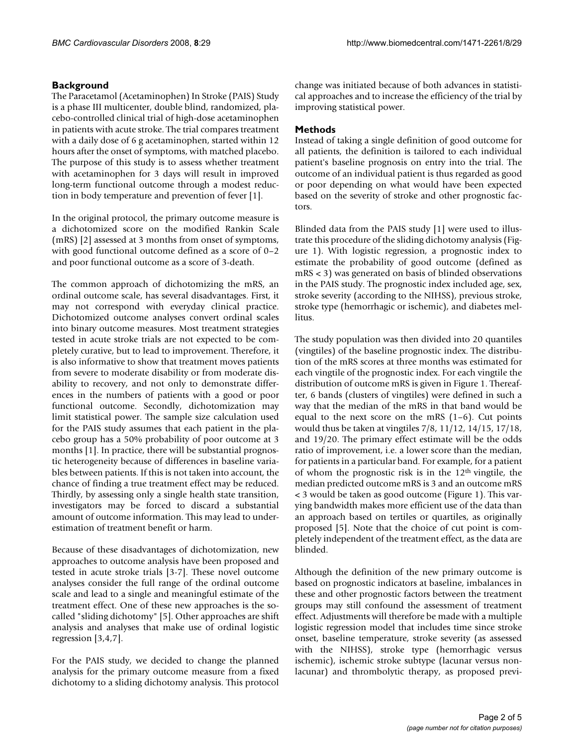# **Background**

The Paracetamol (Acetaminophen) In Stroke (PAIS) Study is a phase III multicenter, double blind, randomized, placebo-controlled clinical trial of high-dose acetaminophen in patients with acute stroke. The trial compares treatment with a daily dose of 6 g acetaminophen, started within 12 hours after the onset of symptoms, with matched placebo. The purpose of this study is to assess whether treatment with acetaminophen for 3 days will result in improved long-term functional outcome through a modest reduction in body temperature and prevention of fever [1].

In the original protocol, the primary outcome measure is a dichotomized score on the modified Rankin Scale (mRS) [2] assessed at 3 months from onset of symptoms, with good functional outcome defined as a score of 0–2 and poor functional outcome as a score of 3-death.

The common approach of dichotomizing the mRS, an ordinal outcome scale, has several disadvantages. First, it may not correspond with everyday clinical practice. Dichotomized outcome analyses convert ordinal scales into binary outcome measures. Most treatment strategies tested in acute stroke trials are not expected to be completely curative, but to lead to improvement. Therefore, it is also informative to show that treatment moves patients from severe to moderate disability or from moderate disability to recovery, and not only to demonstrate differences in the numbers of patients with a good or poor functional outcome. Secondly, dichotomization may limit statistical power. The sample size calculation used for the PAIS study assumes that each patient in the placebo group has a 50% probability of poor outcome at 3 months [1]. In practice, there will be substantial prognostic heterogeneity because of differences in baseline variables between patients. If this is not taken into account, the chance of finding a true treatment effect may be reduced. Thirdly, by assessing only a single health state transition, investigators may be forced to discard a substantial amount of outcome information. This may lead to underestimation of treatment benefit or harm.

Because of these disadvantages of dichotomization, new approaches to outcome analysis have been proposed and tested in acute stroke trials [3-7]. These novel outcome analyses consider the full range of the ordinal outcome scale and lead to a single and meaningful estimate of the treatment effect. One of these new approaches is the socalled "sliding dichotomy" [5]. Other approaches are shift analysis and analyses that make use of ordinal logistic regression [3,4,7].

For the PAIS study, we decided to change the planned analysis for the primary outcome measure from a fixed dichotomy to a sliding dichotomy analysis. This protocol

change was initiated because of both advances in statistical approaches and to increase the efficiency of the trial by improving statistical power.

# **Methods**

Instead of taking a single definition of good outcome for all patients, the definition is tailored to each individual patient's baseline prognosis on entry into the trial. The outcome of an individual patient is thus regarded as good or poor depending on what would have been expected based on the severity of stroke and other prognostic factors.

Blinded data from the PAIS study [1] were used to illustrate this procedure of the sliding dichotomy analysis (Figure 1). With logistic regression, a prognostic index to estimate the probability of good outcome (defined as mRS < 3) was generated on basis of blinded observations in the PAIS study. The prognostic index included age, sex, stroke severity (according to the NIHSS), previous stroke, stroke type (hemorrhagic or ischemic), and diabetes mellitus.

The study population was then divided into 20 quantiles (vingtiles) of the baseline prognostic index. The distribution of the mRS scores at three months was estimated for each vingtile of the prognostic index. For each vingtile the distribution of outcome mRS is given in Figure 1. Thereafter, 6 bands (clusters of vingtiles) were defined in such a way that the median of the mRS in that band would be equal to the next score on the mRS  $(1-6)$ . Cut points would thus be taken at vingtiles 7/8, 11/12, 14/15, 17/18, and 19/20. The primary effect estimate will be the odds ratio of improvement, i.e. a lower score than the median, for patients in a particular band. For example, for a patient of whom the prognostic risk is in the  $12<sup>th</sup>$  vingtile, the median predicted outcome mRS is 3 and an outcome mRS < 3 would be taken as good outcome (Figure 1). This varying bandwidth makes more efficient use of the data than an approach based on tertiles or quartiles, as originally proposed [5]. Note that the choice of cut point is completely independent of the treatment effect, as the data are blinded.

Although the definition of the new primary outcome is based on prognostic indicators at baseline, imbalances in these and other prognostic factors between the treatment groups may still confound the assessment of treatment effect. Adjustments will therefore be made with a multiple logistic regression model that includes time since stroke onset, baseline temperature, stroke severity (as assessed with the NIHSS), stroke type (hemorrhagic versus ischemic), ischemic stroke subtype (lacunar versus nonlacunar) and thrombolytic therapy, as proposed previ-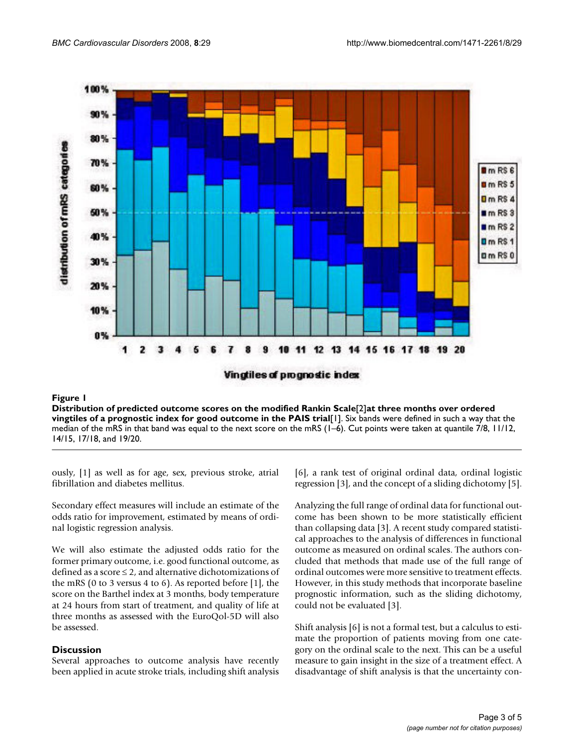

## nostic index for good outcome in the PAIS trial [1] **Figure 1** Distribution of predicted outcome scores on the modified Rankin Scale [2] at three months over ordered vingtiles of a prog-

**Distribution of predicted outcome scores on the modified Rankin Scale**[2]**at three months over ordered vingtiles of a prognostic index for good outcome in the PAIS trial**[1]. Six bands were defined in such a way that the median of the mRS in that band was equal to the next score on the mRS (1–6). Cut points were taken at quantile 7/8, 11/12, 14/15, 17/18, and 19/20.

ously, [1] as well as for age, sex, previous stroke, atrial fibrillation and diabetes mellitus.

Secondary effect measures will include an estimate of the odds ratio for improvement, estimated by means of ordinal logistic regression analysis.

We will also estimate the adjusted odds ratio for the former primary outcome, i.e. good functional outcome, as defined as a score  $\leq$  2, and alternative dichotomizations of the mRS (0 to 3 versus 4 to 6). As reported before [1], the score on the Barthel index at 3 months, body temperature at 24 hours from start of treatment, and quality of life at three months as assessed with the EuroQol-5D will also be assessed.

# **Discussion**

Several approaches to outcome analysis have recently been applied in acute stroke trials, including shift analysis [6], a rank test of original ordinal data, ordinal logistic regression [3], and the concept of a sliding dichotomy [5].

Analyzing the full range of ordinal data for functional outcome has been shown to be more statistically efficient than collapsing data [3]. A recent study compared statistical approaches to the analysis of differences in functional outcome as measured on ordinal scales. The authors concluded that methods that made use of the full range of ordinal outcomes were more sensitive to treatment effects. However, in this study methods that incorporate baseline prognostic information, such as the sliding dichotomy, could not be evaluated [3].

Shift analysis [6] is not a formal test, but a calculus to estimate the proportion of patients moving from one category on the ordinal scale to the next. This can be a useful measure to gain insight in the size of a treatment effect. A disadvantage of shift analysis is that the uncertainty con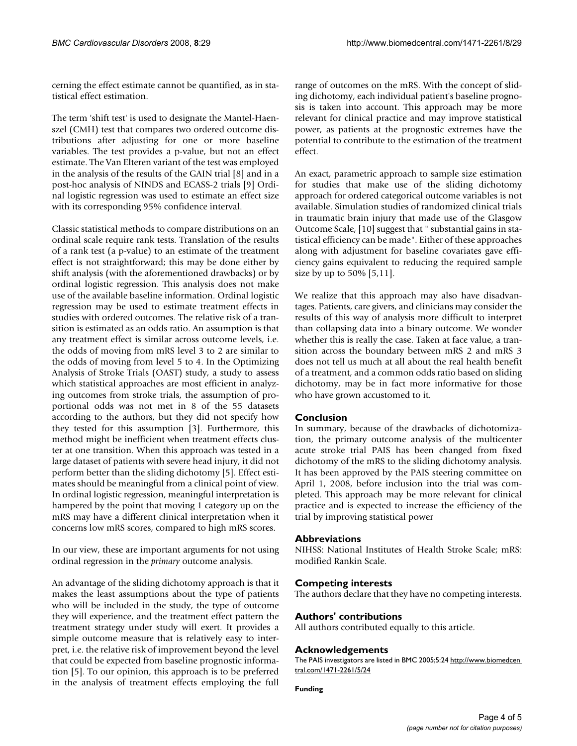cerning the effect estimate cannot be quantified, as in statistical effect estimation.

The term 'shift test' is used to designate the Mantel-Haenszel (CMH) test that compares two ordered outcome distributions after adjusting for one or more baseline variables. The test provides a p-value, but not an effect estimate. The Van Elteren variant of the test was employed in the analysis of the results of the GAIN trial [8] and in a post-hoc analysis of NINDS and ECASS-2 trials [9] Ordinal logistic regression was used to estimate an effect size with its corresponding 95% confidence interval.

Classic statistical methods to compare distributions on an ordinal scale require rank tests. Translation of the results of a rank test (a p-value) to an estimate of the treatment effect is not straightforward; this may be done either by shift analysis (with the aforementioned drawbacks) or by ordinal logistic regression. This analysis does not make use of the available baseline information. Ordinal logistic regression may be used to estimate treatment effects in studies with ordered outcomes. The relative risk of a transition is estimated as an odds ratio. An assumption is that any treatment effect is similar across outcome levels, i.e. the odds of moving from mRS level 3 to 2 are similar to the odds of moving from level 5 to 4. In the Optimizing Analysis of Stroke Trials (OAST) study, a study to assess which statistical approaches are most efficient in analyzing outcomes from stroke trials, the assumption of proportional odds was not met in 8 of the 55 datasets according to the authors, but they did not specify how they tested for this assumption [3]. Furthermore, this method might be inefficient when treatment effects cluster at one transition. When this approach was tested in a large dataset of patients with severe head injury, it did not perform better than the sliding dichotomy [5]. Effect estimates should be meaningful from a clinical point of view. In ordinal logistic regression, meaningful interpretation is hampered by the point that moving 1 category up on the mRS may have a different clinical interpretation when it concerns low mRS scores, compared to high mRS scores.

In our view, these are important arguments for not using ordinal regression in the *primary* outcome analysis.

An advantage of the sliding dichotomy approach is that it makes the least assumptions about the type of patients who will be included in the study, the type of outcome they will experience, and the treatment effect pattern the treatment strategy under study will exert. It provides a simple outcome measure that is relatively easy to interpret, i.e. the relative risk of improvement beyond the level that could be expected from baseline prognostic information [5]. To our opinion, this approach is to be preferred in the analysis of treatment effects employing the full

range of outcomes on the mRS. With the concept of sliding dichotomy, each individual patient's baseline prognosis is taken into account. This approach may be more relevant for clinical practice and may improve statistical power, as patients at the prognostic extremes have the potential to contribute to the estimation of the treatment effect.

An exact, parametric approach to sample size estimation for studies that make use of the sliding dichotomy approach for ordered categorical outcome variables is not available. Simulation studies of randomized clinical trials in traumatic brain injury that made use of the Glasgow Outcome Scale, [10] suggest that " substantial gains in statistical efficiency can be made". Either of these approaches along with adjustment for baseline covariates gave efficiency gains equivalent to reducing the required sample size by up to 50% [5,11].

We realize that this approach may also have disadvantages. Patients, care givers, and clinicians may consider the results of this way of analysis more difficult to interpret than collapsing data into a binary outcome. We wonder whether this is really the case. Taken at face value, a transition across the boundary between mRS 2 and mRS 3 does not tell us much at all about the real health benefit of a treatment, and a common odds ratio based on sliding dichotomy, may be in fact more informative for those who have grown accustomed to it.

# **Conclusion**

In summary, because of the drawbacks of dichotomization, the primary outcome analysis of the multicenter acute stroke trial PAIS has been changed from fixed dichotomy of the mRS to the sliding dichotomy analysis. It has been approved by the PAIS steering committee on April 1, 2008, before inclusion into the trial was completed. This approach may be more relevant for clinical practice and is expected to increase the efficiency of the trial by improving statistical power

# **Abbreviations**

NIHSS: National Institutes of Health Stroke Scale; mRS: modified Rankin Scale.

## **Competing interests**

The authors declare that they have no competing interests.

#### **Authors' contributions**

All authors contributed equally to this article.

### **Acknowledgements**

The PAIS investigators are listed in BMC 2005;5:24 [http://www.biomedcen](http://www.biomedcentral.com/1471-2261/5/24)  [tral.com/1471-2261/5/24](http://www.biomedcentral.com/1471-2261/5/24)

**Funding**